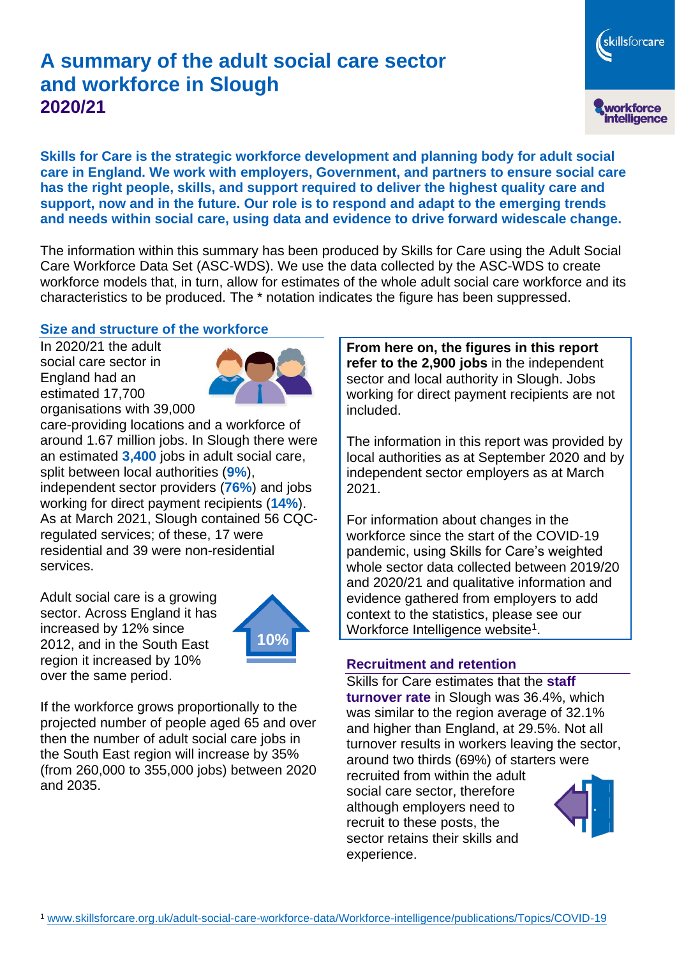# **A summary of the adult social care sector and workforce in Slough 2020/21**

skillsforcare workforce<br>intelligence

**Skills for Care is the strategic workforce development and planning body for adult social care in England. We work with employers, Government, and partners to ensure social care has the right people, skills, and support required to deliver the highest quality care and support, now and in the future. Our role is to respond and adapt to the emerging trends and needs within social care, using data and evidence to drive forward widescale change.**

The information within this summary has been produced by Skills for Care using the Adult Social Care Workforce Data Set (ASC-WDS). We use the data collected by the ASC-WDS to create workforce models that, in turn, allow for estimates of the whole adult social care workforce and its characteristics to be produced. The \* notation indicates the figure has been suppressed.

#### **Size and structure of the workforce**

In 2020/21 the adult social care sector in England had an estimated 17,700 organisations with 39,000



care-providing locations and a workforce of around 1.67 million jobs. In Slough there were an estimated **3,400** jobs in adult social care, split between local authorities (**9%**), independent sector providers (**76%**) and jobs working for direct payment recipients (**14%**). As at March 2021, Slough contained 56 CQCregulated services; of these, 17 were residential and 39 were non-residential services.

Adult social care is a growing sector. Across England it has increased by 12% since 2012, and in the South East region it increased by 10% over the same period.



If the workforce grows proportionally to the projected number of people aged 65 and over then the number of adult social care jobs in the South East region will increase by 35% (from 260,000 to 355,000 jobs) between 2020 and 2035.

**From here on, the figures in this report refer to the 2,900 jobs** in the independent sector and local authority in Slough. Jobs working for direct payment recipients are not included.

The information in this report was provided by local authorities as at September 2020 and by independent sector employers as at March 2021.

For information about changes in the workforce since the start of the COVID-19 pandemic, using Skills for Care's weighted whole sector data collected between 2019/20 and 2020/21 and qualitative information and evidence gathered from employers to add context to the statistics, please see our Workforce Intelligence website<sup>1</sup>.

#### **Recruitment and retention**

Skills for Care estimates that the **staff turnover rate** in Slough was 36.4%, which was similar to the region average of 32.1% and higher than England, at 29.5%. Not all turnover results in workers leaving the sector, around two thirds (69%) of starters were recruited from within the adult social care sector, therefore although employers need to recruit to these posts, the sector retains their skills and experience.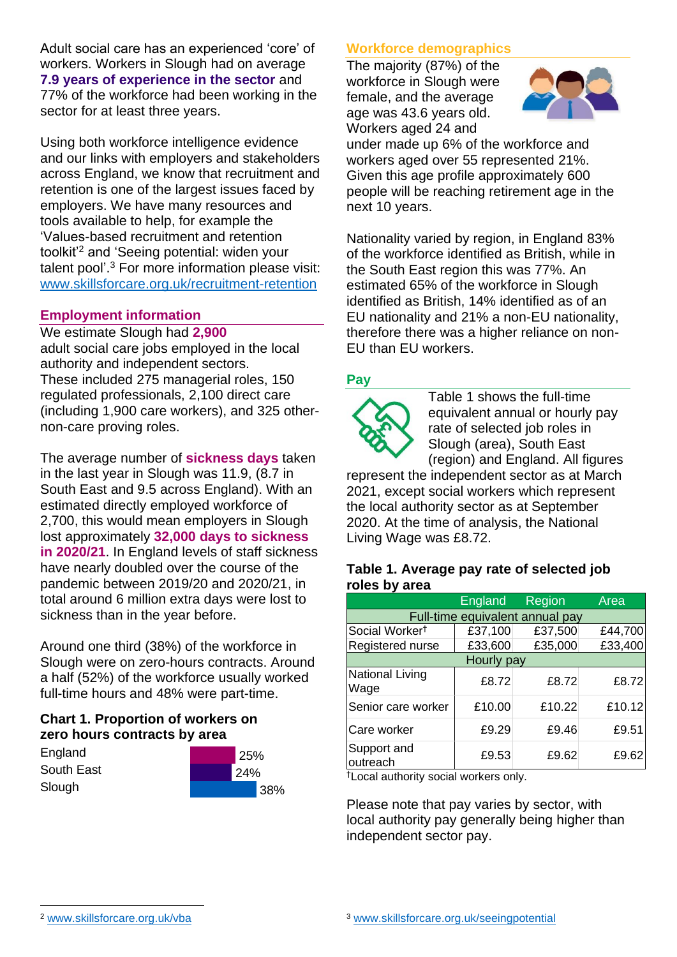Adult social care has an experienced 'core' of workers. Workers in Slough had on average **7.9 years of experience in the sector** and 77% of the workforce had been working in the sector for at least three years.

Using both workforce intelligence evidence and our links with employers and stakeholders across England, we know that recruitment and retention is one of the largest issues faced by employers. We have many resources and tools available to help, for example the 'Values-based recruitment and retention toolkit'<sup>2</sup> and 'Seeing potential: widen your talent pool'. <sup>3</sup> For more information please visit: [www.skillsforcare.org.uk/recruitment-retention](http://www.skillsforcare.org.uk/recruitment-retention)

### **Employment information**

We estimate Slough had **2,900** adult social care jobs employed in the local authority and independent sectors. These included 275 managerial roles, 150 regulated professionals, 2,100 direct care (including 1,900 care workers), and 325 othernon-care proving roles.

The average number of **sickness days** taken in the last year in Slough was 11.9, (8.7 in South East and 9.5 across England). With an estimated directly employed workforce of 2,700, this would mean employers in Slough lost approximately **32,000 days to sickness in 2020/21**. In England levels of staff sickness have nearly doubled over the course of the pandemic between 2019/20 and 2020/21, in total around 6 million extra days were lost to sickness than in the year before.

Around one third (38%) of the workforce in Slough were on zero-hours contracts. Around a half (52%) of the workforce usually worked full-time hours and 48% were part-time.

## **Chart 1. Proportion of workers on zero hours contracts by area**

**England** South East Slough

|     | 25% |     |
|-----|-----|-----|
| 24% |     |     |
|     |     | 38% |

## **Workforce demographics**

The majority (87%) of the workforce in Slough were female, and the average age was 43.6 years old. Workers aged 24 and



under made up 6% of the workforce and workers aged over 55 represented 21%. Given this age profile approximately 600 people will be reaching retirement age in the next 10 years.

Nationality varied by region, in England 83% of the workforce identified as British, while in the South East region this was 77%. An estimated 65% of the workforce in Slough identified as British, 14% identified as of an EU nationality and 21% a non-EU nationality, therefore there was a higher reliance on non-EU than EU workers.

### **Pay**



Table 1 shows the full-time equivalent annual or hourly pay rate of selected job roles in Slough (area), South East (region) and England. All figures

represent the independent sector as at March 2021, except social workers which represent the local authority sector as at September 2020. At the time of analysis, the National Living Wage was £8.72.

#### **Table 1. Average pay rate of selected job roles by area**

|                                 | <b>England</b> | <b>Region</b> | Area    |  |
|---------------------------------|----------------|---------------|---------|--|
| Full-time equivalent annual pay |                |               |         |  |
| Social Worker <sup>t</sup>      | £37,100        | £37,500       | £44,700 |  |
| Registered nurse                | £33,600        | £35,000       | £33,400 |  |
| Hourly pay                      |                |               |         |  |
| <b>National Living</b><br>Wage  | £8.72          | £8.72         | £8.72   |  |
| Senior care worker              | £10.00         | £10.22        | £10.12  |  |
| Care worker                     | £9.29          | £9.46         | £9.51   |  |
| Support and<br>outreach         | £9.53          | £9.62         | £9.62   |  |

†Local authority social workers only.

Please note that pay varies by sector, with local authority pay generally being higher than independent sector pay.